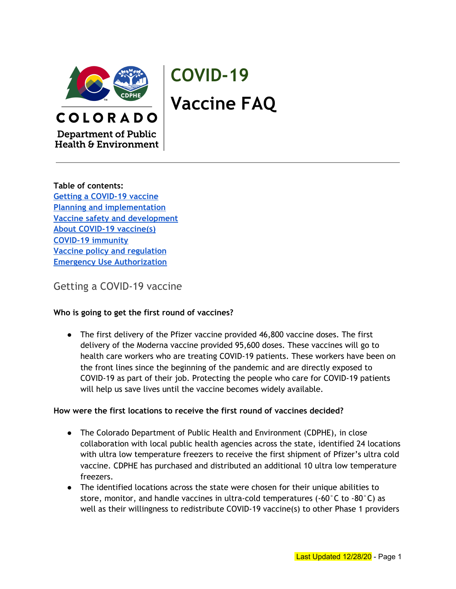

# **COVID-19 Vaccine FAQ**

**Department of Public Health & Environment** 

COLORADO

**Table of contents: Getting a [COVID-19](#page-0-0) vaccine Planning and [implementation](#page-9-0) Vaccine safety and [development](#page-10-0) About COVID-19 [vaccine\(s\)](#page-13-0) COVID-19 [immunity](#page-15-0) Vaccine policy and [regulation](#page-17-0) Emergency Use [Authorization](#page-18-0)**

<span id="page-0-0"></span>Getting a COVID-19 vaccine

## **Who is going to get the first round of vaccines?**

● The first delivery of the Pfizer vaccine provided 46,800 vaccine doses. The first delivery of the Moderna vaccine provided 95,600 doses. These vaccines will go to health care workers who are treating COVID-19 patients. These workers have been on the front lines since the beginning of the pandemic and are directly exposed to COVID-19 as part of their job. Protecting the people who care for COVID-19 patients will help us save lives until the vaccine becomes widely available.

## **How were the first locations to receive the first round of vaccines decided?**

- The Colorado Department of Public Health and Environment (CDPHE), in close collaboration with local public health agencies across the state, identified 24 locations with ultra low temperature freezers to receive the first shipment of Pfizer's ultra cold vaccine. CDPHE has purchased and distributed an additional 10 ultra low temperature freezers.
- The identified locations across the state were chosen for their unique abilities to store, monitor, and handle vaccines in ultra-cold temperatures (-60 $^{\circ}$ C to -80 $^{\circ}$ C) as well as their willingness to redistribute COVID-19 vaccine(s) to other Phase 1 providers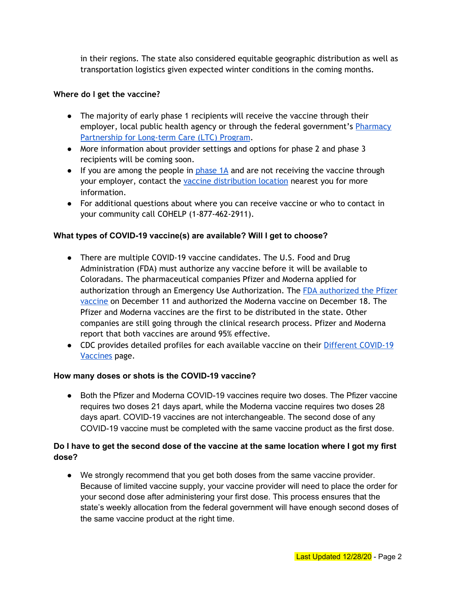in their regions. The state also considered equitable geographic distribution as well as transportation logistics given expected winter conditions in the coming months.

## **Where do I get the vaccine?**

- The majority of early phase 1 recipients will receive the vaccine through their employer, local public health agency or through the federal government's [Pharmacy](https://www.cdc.gov/vaccines/covid-19/long-term-care/pharmacy-partnerships.html) [Partnership](https://www.cdc.gov/vaccines/covid-19/long-term-care/pharmacy-partnerships.html) for Long-term Care (LTC) Program.
- More information about provider settings and options for phase 2 and phase 3 recipients will be coming soon.
- If you are among the people in  $phase 1A$  $phase 1A$  and are not receiving the vaccine through your employer, contact the vaccine [distribution](https://covid19.colorado.gov/vaccine-providers-and-public-health-professionals) location nearest you for more information.
- For additional questions about where you can receive vaccine or who to contact in your community call COHELP (1-877-462-2911).

#### **What types of COVID-19 vaccine(s) are available? Will I get to choose?**

- There are multiple COVID-19 vaccine candidates. The U.S. Food and Drug Administration (FDA) must authorize any vaccine before it will be available to Coloradans. The pharmaceutical companies Pfizer and Moderna applied for authorization through an Emergency Use Authorization. The FDA [authorized](https://www.fda.gov/media/144412/download) the Pfizer [vaccine](https://www.fda.gov/media/144412/download) on December 11 and authorized the Moderna vaccine on December 18. The Pfizer and Moderna vaccines are the first to be distributed in the state. Other companies are still going through the clinical research process. Pfizer and Moderna report that both vaccines are around 95% effective.
- CDC provides detailed profiles for each available vaccine on their Different [COVID-19](https://www.cdc.gov/coronavirus/2019-ncov/vaccines/different-vaccines.html) [Vaccines](https://www.cdc.gov/coronavirus/2019-ncov/vaccines/different-vaccines.html) page.

#### **How many doses or shots is the COVID-19 vaccine?**

● Both the Pfizer and Moderna COVID-19 vaccines require two doses. The Pfizer vaccine requires two doses 21 days apart, while the Moderna vaccine requires two doses 28 days apart. COVID-19 vaccines are not interchangeable. The second dose of any COVID-19 vaccine must be completed with the same vaccine product as the first dose.

## Do I have to get the second dose of the vaccine at the same location where I got my first **dose?**

● We strongly recommend that you get both doses from the same vaccine provider. Because of limited vaccine supply, your vaccine provider will need to place the order for your second dose after administering your first dose. This process ensures that the state's weekly allocation from the federal government will have enough second doses of the same vaccine product at the right time.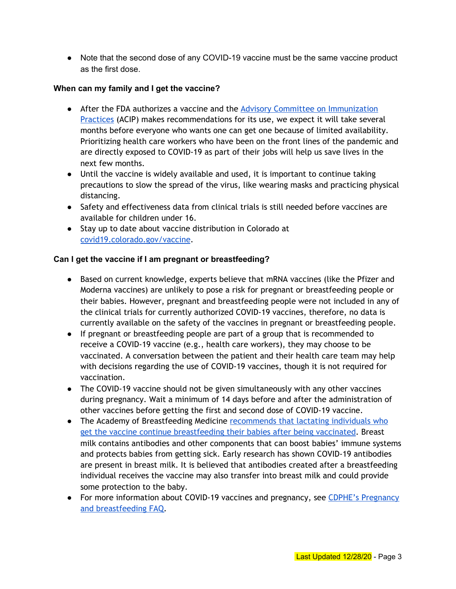• Note that the second dose of any COVID-19 vaccine must be the same vaccine product as the first dose.

## **When can my family and I get the vaccine?**

- After the FDA authorizes a vaccine and the Advisory Committee on [Immunization](https://www.cdc.gov/vaccines/acip/index.html) [Practices](https://www.cdc.gov/vaccines/acip/index.html) (ACIP) makes recommendations for its use, we expect it will take several months before everyone who wants one can get one because of limited availability. Prioritizing health care workers who have been on the front lines of the pandemic and are directly exposed to COVID-19 as part of their jobs will help us save lives in the next few months.
- Until the vaccine is widely available and used, it is important to continue taking precautions to slow the spread of the virus, like wearing masks and practicing physical distancing.
- Safety and effectiveness data from clinical trials is still needed before vaccines are available for children under 16.
- Stay up to date about vaccine distribution in Colorado at [covid19.colorado.gov/vaccine.](https://covid19.colorado.gov/vaccine)

#### **Can I get the vaccine if I am pregnant or breastfeeding?**

- Based on current knowledge, experts believe that mRNA vaccines (like the Pfizer and Moderna vaccines) are unlikely to pose a risk for pregnant or breastfeeding people or their babies. However, pregnant and breastfeeding people were not included in any of the clinical trials for currently authorized COVID-19 vaccines, therefore, no data is currently available on the safety of the vaccines in pregnant or breastfeeding people.
- If pregnant or breastfeeding people are part of a group that is recommended to receive a COVID-19 vaccine (e.g., health care workers), they may choose to be vaccinated. A conversation between the patient and their health care team may help with decisions regarding the use of COVID-19 vaccines, though it is not required for vaccination.
- The COVID-19 vaccine should not be given simultaneously with any other vaccines during pregnancy. Wait a minimum of 14 days before and after the administration of other vaccines before getting the first and second dose of COVID-19 vaccine.
- The Academy of Breastfeeding Medicine [recommends](https://www.bfmed.org/abm-statement-considerations-for-covid-19-vaccination-in-lactation) that lactating individuals who get the vaccine continue [breastfeeding](https://www.bfmed.org/abm-statement-considerations-for-covid-19-vaccination-in-lactation) their babies after being vaccinated. Breast milk contains antibodies and other components that can boost babies' immune systems and protects babies from getting sick. Early research has shown COVID-19 antibodies are present in breast milk. It is believed that antibodies created after a breastfeeding individual receives the vaccine may also transfer into breast milk and could provide some protection to the baby.
- For more information about COVID-19 vaccines and pregnancy, see CDPHE's [Pregnancy](https://covid19.colorado.gov/pregnancy-breastfeeding) and [breastfeeding](https://covid19.colorado.gov/pregnancy-breastfeeding) FAQ.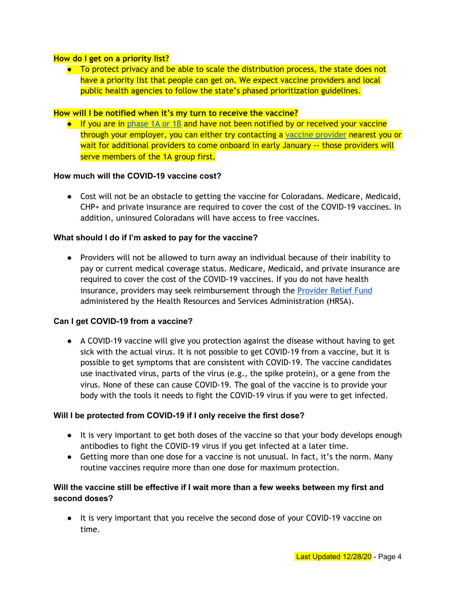#### **How do I get on a priority list?**

● To protect privacy and be able to scale the distribution process, the state does not have a priority list that people can get on. We expect vaccine providers and local public health agencies to follow the state's phased prioritization guidelines.

#### **How will I be notified when it's my turn to receive the vaccine?**

● If you are in [phase](https://covid19.colorado.gov/vaccine-for-coloradans) 1A or 1B and have not been notified by or received your vaccine through your employer, you can either try contacting a vaccine [provider](https://drive.google.com/file/d/1wM9W1pf2gUj2vp3PSXzvRgoL7-dm-omX/view) nearest you or wait for additional providers to come onboard in early January -- those providers will serve members of the 1A group first.

#### **How much will the COVID-19 vaccine cost?**

● Cost will not be an obstacle to getting the vaccine for Coloradans. Medicare, Medicaid, CHP+ and private insurance are required to cover the cost of the COVID-19 vaccines. In addition, uninsured Coloradans will have access to free vaccines.

#### **What should I do if I'm asked to pay for the vaccine?**

● Providers will not be allowed to turn away an individual because of their inability to pay or current medical coverage status. Medicare, Medicaid, and private insurance are required to cover the cost of the COVID-19 vaccines. If you do not have health insurance, providers may seek reimbursement through the [Provider](https://www.hhs.gov/coronavirus/cares-act-provider-relief-fund/index.html) Relief Fund administered by the Health Resources and Services Administration (HRSA).

#### **Can I get COVID-19 from a vaccine?**

● A COVID-19 vaccine will give you protection against the disease without having to get sick with the actual virus. It is not possible to get COVID-19 from a vaccine, but it is possible to get symptoms that are consistent with COVID-19. The vaccine candidates use inactivated virus, parts of the virus (e.g., the spike protein), or a gene from the virus. None of these can cause COVID-19. The goal of the vaccine is to provide your body with the tools it needs to fight the COVID-19 virus if you were to get infected.

#### **Will I be protected from COVID-19 if I only receive the first dose?**

- It is very important to get both doses of the vaccine so that your body develops enough antibodies to fight the COVID-19 virus if you get infected at a later time.
- Getting more than one dose for a vaccine is not unusual. In fact, it's the norm. Many routine vaccines require more than one dose for maximum protection.

## **Will the vaccine still be effective if I wait more than a few weeks between my first and second doses?**

● It is very important that you receive the second dose of your COVID-19 vaccine on time.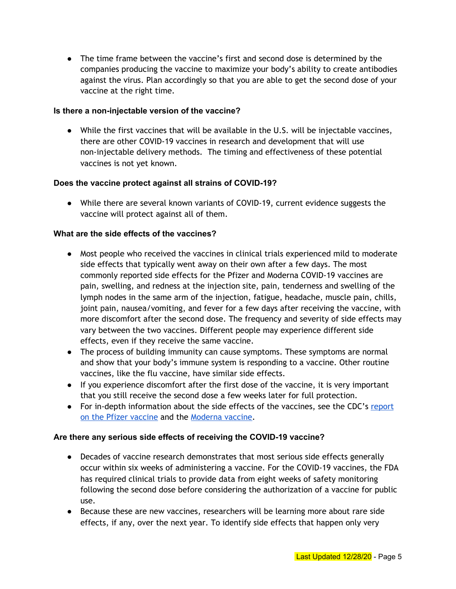● The time frame between the vaccine's first and second dose is determined by the companies producing the vaccine to maximize your body's ability to create antibodies against the virus. Plan accordingly so that you are able to get the second dose of your vaccine at the right time.

## **Is there a non-injectable version of the vaccine?**

● While the first vaccines that will be available in the U.S. will be injectable vaccines, there are other COVID-19 vaccines in research and development that will use non-injectable delivery methods. The timing and effectiveness of these potential vaccines is not yet known.

#### **Does the vaccine protect against all strains of COVID-19?**

● While there are several known variants of COVID-19, current evidence suggests the vaccine will protect against all of them.

#### **What are the side effects of the vaccines?**

- Most people who received the vaccines in clinical trials experienced mild to moderate side effects that typically went away on their own after a few days. The most commonly reported side effects for the Pfizer and Moderna COVID-19 vaccines are pain, swelling, and redness at the injection site, pain, tenderness and swelling of the lymph nodes in the same arm of the injection, fatigue, headache, muscle pain, chills, joint pain, nausea/vomiting, and fever for a few days after receiving the vaccine, with more discomfort after the second dose. The frequency and severity of side effects may vary between the two vaccines. Different people may experience different side effects, even if they receive the same vaccine.
- The process of building immunity can cause symptoms. These symptoms are normal and show that your body's immune system is responding to a vaccine. Other routine vaccines, like the flu vaccine, have similar side effects.
- If you experience discomfort after the first dose of the vaccine, it is very important that you still receive the second dose a few weeks later for full protection.
- For in-depth information about the side effects of the vaccines, see the CDC's [report](https://www.cdc.gov/vaccines/covid-19/info-by-product/pfizer/reactogenicity.html?CDC_AA_refVal=https%3A%2F%2Fwww.cdc.gov%2Fvaccines%2Fcovid-19%2Finfo-by-manufacturer%2Fpfizer%2Freactogenicity.html) on the Pfizer [vaccine](https://www.cdc.gov/vaccines/covid-19/info-by-product/pfizer/reactogenicity.html?CDC_AA_refVal=https%3A%2F%2Fwww.cdc.gov%2Fvaccines%2Fcovid-19%2Finfo-by-manufacturer%2Fpfizer%2Freactogenicity.html) and the [Moderna](https://www.cdc.gov/vaccines/covid-19/info-by-product/moderna/reactogenicity.html) vaccine.

#### **Are there any serious side effects of receiving the COVID-19 vaccine?**

- Decades of vaccine research demonstrates that most serious side effects generally occur within six weeks of administering a vaccine. For the COVID-19 vaccines, the FDA has required clinical trials to provide data from eight weeks of safety monitoring following the second dose before considering the authorization of a vaccine for public use.
- Because these are new vaccines, researchers will be learning more about rare side effects, if any, over the next year. To identify side effects that happen only very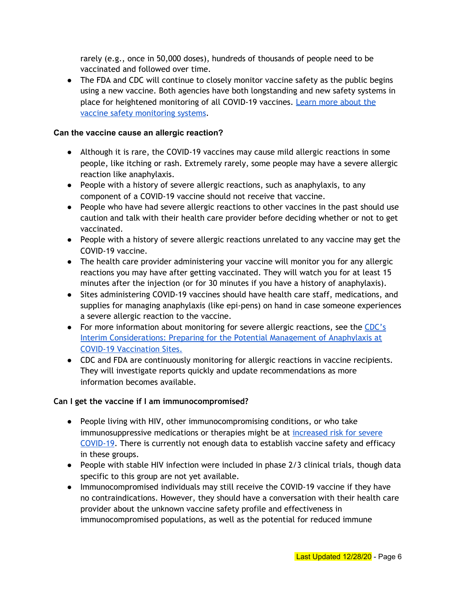rarely (e.g., once in 50,000 doses), hundreds of thousands of people need to be vaccinated and followed over time.

• The FDA and CDC will continue to closely monitor vaccine safety as the public begins using a new vaccine. Both agencies have both longstanding and new safety systems in place for heightened monitoring of all COVID-19 vaccines. Learn more [about](https://www.cdc.gov/coronavirus/2019-ncov/vaccines/safety.html) the vaccine safety [monitoring](https://www.cdc.gov/coronavirus/2019-ncov/vaccines/safety.html) systems.

## **Can the vaccine cause an allergic reaction?**

- Although it is rare, the COVID-19 vaccines may cause mild allergic reactions in some people, like itching or rash. Extremely rarely, some people may have a severe allergic reaction like anaphylaxis.
- People with a history of severe allergic reactions, such as anaphylaxis, to any component of a COVID-19 vaccine should not receive that vaccine.
- People who have had severe allergic reactions to other vaccines in the past should use caution and talk with their health care provider before deciding whether or not to get vaccinated.
- People with a history of severe allergic reactions unrelated to any vaccine may get the COVID-19 vaccine.
- The health care provider administering your vaccine will monitor you for any allergic reactions you may have after getting vaccinated. They will watch you for at least 15 minutes after the injection (or for 30 minutes if you have a history of anaphylaxis).
- Sites administering COVID-19 vaccines should have health care staff, medications, and supplies for managing anaphylaxis (like epi-pens) on hand in case someone experiences a severe allergic reaction to the vaccine.
- For more information about monitoring for severe allergic reactions, see the [CDC's](https://www.cdc.gov/vaccines/covid-19/info-by-product/pfizer/anaphylaxis-management.html) Interim [Considerations:](https://www.cdc.gov/vaccines/covid-19/info-by-product/pfizer/anaphylaxis-management.html) Preparing for the Potential Management of Anaphylaxis at COVID-19 [Vaccination](https://www.cdc.gov/vaccines/covid-19/info-by-product/pfizer/anaphylaxis-management.html) Sites.
- CDC and FDA are continuously monitoring for allergic reactions in vaccine recipients. They will investigate reports quickly and update recommendations as more information becomes available.

## **Can I get the vaccine if I am immunocompromised?**

- People living with HIV, other immunocompromising conditions, or who take immunosuppressive medications or therapies might be at [increased](https://www.cdc.gov/coronavirus/2019-ncov/need-extra-precautions/people-with-medical-conditions.html) risk for severe [COVID-19.](https://www.cdc.gov/coronavirus/2019-ncov/need-extra-precautions/people-with-medical-conditions.html) There is currently not enough data to establish vaccine safety and efficacy in these groups.
- People with stable HIV infection were included in phase 2/3 clinical trials, though data specific to this group are not yet available.
- Immunocompromised individuals may still receive the COVID-19 vaccine if they have no contraindications. However, they should have a conversation with their health care provider about the unknown vaccine safety profile and effectiveness in immunocompromised populations, as well as the potential for reduced immune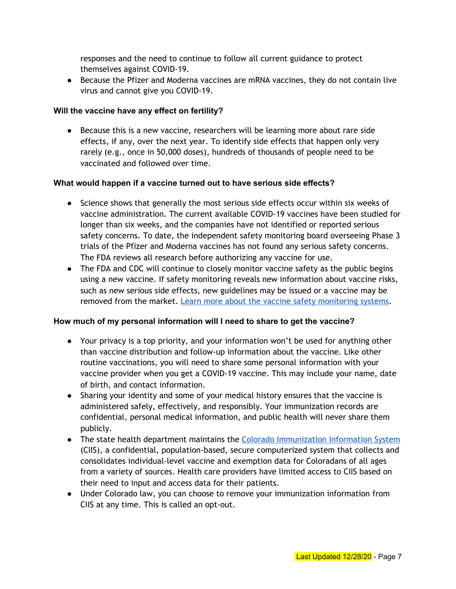responses and the need to continue to follow all current guidance to protect themselves against COVID-19.

• Because the Pfizer and Moderna vaccines are mRNA vaccines, they do not contain live virus and cannot give you COVID-19.

## **Will the vaccine have any effect on fertility?**

● Because this is a new vaccine, researchers will be learning more about rare side effects, if any, over the next year. To identify side effects that happen only very rarely (e.g., once in 50,000 doses), hundreds of thousands of people need to be vaccinated and followed over time.

#### **What would happen if a vaccine turned out to have serious side effects?**

- Science shows that generally the most serious side effects occur within six weeks of vaccine administration. The current available COVID-19 vaccines have been studied for longer than six weeks, and the companies have not identified or reported serious safety concerns. To date, the independent safety monitoring board overseeing Phase 3 trials of the Pfizer and Moderna vaccines has not found any serious safety concerns. The FDA reviews all research before authorizing any vaccine for use.
- The FDA and CDC will continue to closely monitor vaccine safety as the public begins using a new vaccine. If safety monitoring reveals new information about vaccine risks, such as new serious side effects, new guidelines may be issued or a vaccine may be removed from the market. Learn more about the vaccine safety [monitoring](https://www.cdc.gov/coronavirus/2019-ncov/vaccines/safety.html) systems.

## **How much of my personal information will I need to share to get the vaccine?**

- Your privacy is a top priority, and your information won't be used for anything other than vaccine distribution and follow-up information about the vaccine. Like other routine vaccinations, you will need to share some personal information with your vaccine provider when you get a COVID-19 vaccine. This may include your name, date of birth, and contact information.
- Sharing your identity and some of your medical history ensures that the vaccine is administered safely, effectively, and responsibly. Your immunization records are confidential, personal medical information, and public health will never share them publicly.
- The state health department maintains the Colorado [Immunization](https://cdphe.colorado.gov/colorado-immunization-information-system-ciis) Information System (CIIS), a confidential, population-based, secure computerized system that collects and consolidates individual-level vaccine and exemption data for Coloradans of all ages from a variety of sources. Health care providers have limited access to CIIS based on their need to input and access data for their patients.
- Under Colorado law, you can choose to remove your immunization information from CIIS at any time. This is called an opt-out.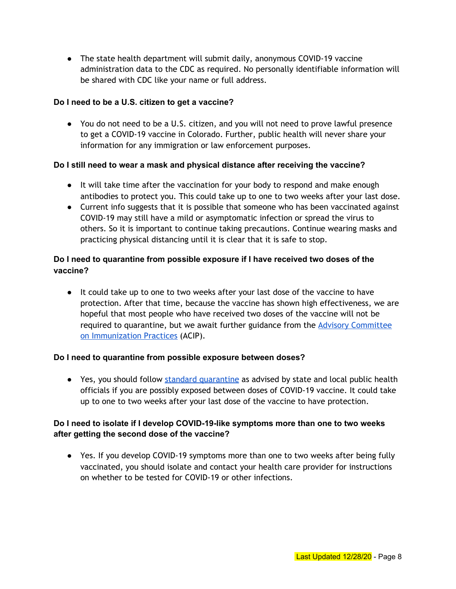● The state health department will submit daily, anonymous COVID-19 vaccine administration data to the CDC as required. No personally identifiable information will be shared with CDC like your name or full address.

## **Do I need to be a U.S. citizen to get a vaccine?**

● You do not need to be a U.S. citizen, and you will not need to prove lawful presence to get a COVID-19 vaccine in Colorado. Further, public health will never share your information for any immigration or law enforcement purposes.

#### **Do I still need to wear a mask and physical distance after receiving the vaccine?**

- It will take time after the vaccination for your body to respond and make enough antibodies to protect you. This could take up to one to two weeks after your last dose.
- Current info suggests that it is possible that someone who has been vaccinated against COVID-19 may still have a mild or asymptomatic infection or spread the virus to others. So it is important to continue taking precautions. Continue wearing masks and practicing physical distancing until it is clear that it is safe to stop.

## **Do I need to quarantine from possible exposure if I have received two doses of the vaccine?**

● It could take up to one to two weeks after your last dose of the vaccine to have protection. After that time, because the vaccine has shown high effectiveness, we are hopeful that most people who have received two doses of the vaccine will not be required to quarantine, but we await further guidance from the Advisory [Committee](https://www.cdc.gov/vaccines/acip/index.html) on [Immunization](https://www.cdc.gov/vaccines/acip/index.html) Practices (ACIP).

#### **Do I need to quarantine from possible exposure between doses?**

● Yes, you should follow standard [quarantine](https://covid19.colorado.gov/how-to-quarantine) as advised by state and local public health officials if you are possibly exposed between doses of COVID-19 vaccine. It could take up to one to two weeks after your last dose of the vaccine to have protection.

## **Do I need to isolate if I develop COVID-19-like symptoms more than one to two weeks after getting the second dose of the vaccine?**

**●** Yes. If you develop COVID-19 symptoms more than one to two weeks after being fully vaccinated, you should isolate and contact your health care provider for instructions on whether to be tested for COVID-19 or other infections.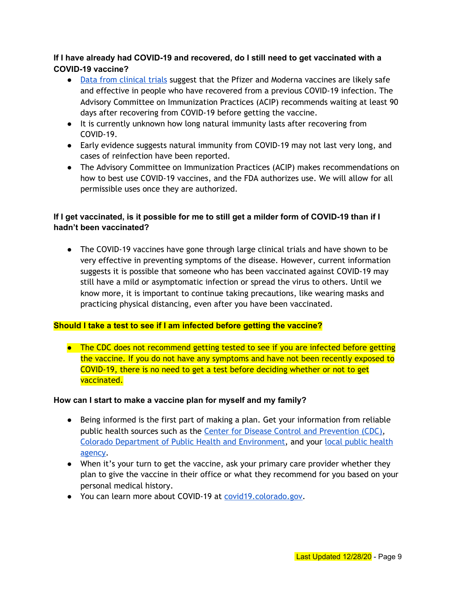## **If I have already had COVID-19 and recovered, do I still need to get vaccinated with a COVID-19 vaccine?**

- Data from [clinical](https://www.cdc.gov/vaccines/covid-19/info-by-product/clinical-considerations.html) trials suggest that the Pfizer and Moderna vaccines are likely safe and effective in people who have recovered from a previous COVID-19 infection. The Advisory Committee on Immunization Practices (ACIP) recommends waiting at least 90 days after recovering from COVID-19 before getting the vaccine.
- It is currently unknown how long natural immunity lasts after recovering from COVID-19.
- Early evidence suggests natural immunity from COVID-19 may not last very long, and cases of reinfection have been reported.
- The Advisory Committee on Immunization Practices (ACIP) makes recommendations on how to best use COVID-19 vaccines, and the FDA authorizes use. We will allow for all permissible uses once they are authorized.

## If I get vaccinated, is it possible for me to still get a milder form of COVID-19 than if I **hadn't been vaccinated?**

● The COVID-19 vaccines have gone through large clinical trials and have shown to be very effective in preventing symptoms of the disease. However, current information suggests it is possible that someone who has been vaccinated against COVID-19 may still have a mild or asymptomatic infection or spread the virus to others. Until we know more, it is important to continue taking precautions, like wearing masks and practicing physical distancing, even after you have been vaccinated.

## **Should I take a test to see if I am infected before getting the vaccine?**

● The CDC does not recommend getting tested to see if you are infected before getting the vaccine. If you do not have any symptoms and have not been recently exposed to COVID-19, there is no need to get a test before deciding whether or not to get vaccinated.

#### **How can I start to make a vaccine plan for myself and my family?**

- Being informed is the first part of making a plan. Get your information from reliable public health sources such as the Center for Disease Control and [Prevention](https://www.cdc.gov/coronavirus/2019-nCoV/index.html) (CDC), Colorado Department of Public Health and [Environment,](https://covid19.colorado.gov/) and your local public [health](https://cdphe.colorado.gov/public-information/find-your-local-public-health-agency) [agency](https://cdphe.colorado.gov/public-information/find-your-local-public-health-agency).
- When it's your turn to get the vaccine, ask your primary care provider whether they plan to give the vaccine in their office or what they recommend for you based on your personal medical history.
- You can learn more about COVID-19 at [covid19.colorado.gov](https://covid19.colorado.gov/).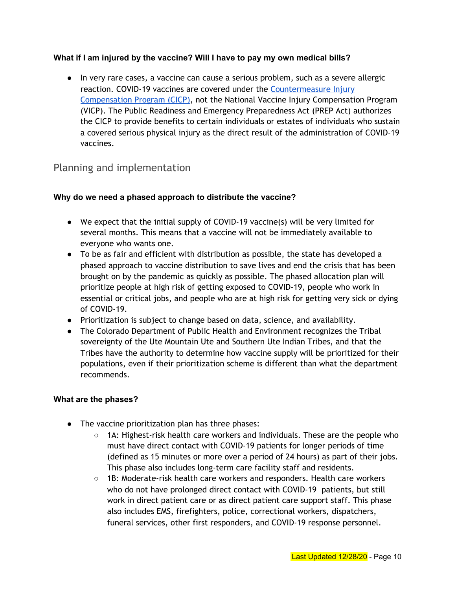## **What if I am injured by the vaccine? Will I have to pay my own medical bills?**

**●** In very rare cases, a vaccine can cause a serious problem, such as a severe allergic reaction. COVID-19 vaccines are covered under the [Countermeasure](https://www.hrsa.gov/cicp) Injury [Compensation](https://www.hrsa.gov/cicp) Program (CICP), not the National Vaccine Injury Compensation Program (VICP). The Public Readiness and Emergency Preparedness Act (PREP Act) authorizes the CICP to provide benefits to certain individuals or estates of individuals who sustain a covered serious physical injury as the direct result of the administration of COVID-19 vaccines.

## <span id="page-9-0"></span>Planning and implementation

#### **Why do we need a phased approach to distribute the vaccine?**

- We expect that the initial supply of COVID-19 vaccine(s) will be very limited for several months. This means that a vaccine will not be immediately available to everyone who wants one.
- To be as fair and efficient with distribution as possible, the state has developed a phased approach to vaccine distribution to save lives and end the crisis that has been brought on by the pandemic as quickly as possible. The phased allocation plan will prioritize people at high risk of getting exposed to COVID-19, people who work in essential or critical jobs, and people who are at high risk for getting very sick or dying of COVID-19.
- Prioritization is subject to change based on data, science, and availability.
- The Colorado Department of Public Health and Environment recognizes the Tribal sovereignty of the Ute Mountain Ute and Southern Ute Indian Tribes, and that the Tribes have the authority to determine how vaccine supply will be prioritized for their populations, even if their prioritization scheme is different than what the department recommends.

#### **What are the phases?**

- The vaccine prioritization plan has three phases:
	- $\circ$  1A: Highest-risk health care workers and individuals. These are the people who must have direct contact with COVID-19 patients for longer periods of time (defined as 15 minutes or more over a period of 24 hours) as part of their jobs. This phase also includes long-term care facility staff and residents.
	- 1B: Moderate-risk health care workers and responders. Health care workers who do not have prolonged direct contact with COVID-19 patients, but still work in direct patient care or as direct patient care support staff. This phase also includes EMS, firefighters, police, correctional workers, dispatchers, funeral services, other first responders, and COVID-19 response personnel.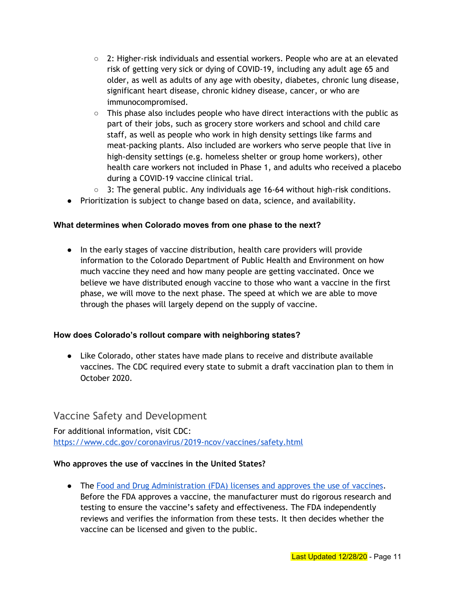- $\circ$  2: Higher-risk individuals and essential workers. People who are at an elevated risk of getting very sick or dying of COVID-19, including any adult age 65 and older, as well as adults of any age with obesity, diabetes, chronic lung disease, significant heart disease, chronic kidney disease, cancer, or who are immunocompromised.
- $\circ$  This phase also includes people who have direct interactions with the public as part of their jobs, such as grocery store workers and school and child care staff, as well as people who work in high density settings like farms and meat-packing plants. Also included are workers who serve people that live in high-density settings (e.g. homeless shelter or group home workers), other health care workers not included in Phase 1, and adults who received a placebo during a COVID-19 vaccine clinical trial.
- $\circ$  3: The general public. Any individuals age 16-64 without high-risk conditions.
- Prioritization is subject to change based on data, science, and availability.

#### **What determines when Colorado moves from one phase to the next?**

● In the early stages of vaccine distribution, health care providers will provide information to the Colorado Department of Public Health and Environment on how much vaccine they need and how many people are getting vaccinated. Once we believe we have distributed enough vaccine to those who want a vaccine in the first phase, we will move to the next phase. The speed at which we are able to move through the phases will largely depend on the supply of vaccine.

#### **How does Colorado's rollout compare with neighboring states?**

● Like Colorado, other states have made plans to receive and distribute available vaccines. The CDC required every state to submit a draft vaccination plan to them in October 2020.

## <span id="page-10-0"></span>Vaccine Safety and Development

For additional information, visit CDC: <https://www.cdc.gov/coronavirus/2019-ncov/vaccines/safety.html>

#### **Who approves the use of vaccines in the United States?**

● The Food and Drug [Administration](https://www.fda.gov/vaccines-blood-biologics/development-approval-process-cber/vaccine-product-approval-process) (FDA) licenses and approves the use of vaccines. Before the FDA approves a vaccine, the manufacturer must do rigorous research and testing to ensure the vaccine's safety and effectiveness. The FDA independently reviews and verifies the information from these tests. It then decides whether the vaccine can be licensed and given to the public.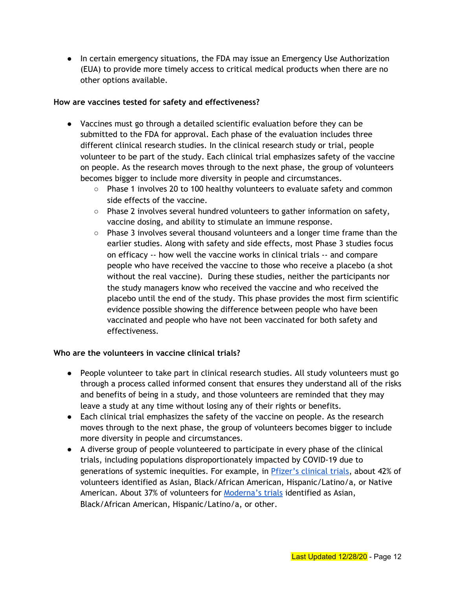● In certain emergency situations, the FDA may issue an Emergency Use Authorization (EUA) to provide more timely access to critical medical products when there are no other options available.

#### **How are vaccines tested for safety and effectiveness?**

- Vaccines must go through a detailed scientific evaluation before they can be submitted to the FDA for approval. Each phase of the evaluation includes three different clinical research studies. In the clinical research study or trial, people volunteer to be part of the study. Each clinical trial emphasizes safety of the vaccine on people. As the research moves through to the next phase, the group of volunteers becomes bigger to include more diversity in people and circumstances.
	- Phase 1 involves 20 to 100 healthy volunteers to evaluate safety and common side effects of the vaccine.
	- Phase 2 involves several hundred volunteers to gather information on safety, vaccine dosing, and ability to stimulate an immune response.
	- Phase 3 involves several thousand volunteers and a longer time frame than the earlier studies. Along with safety and side effects, most Phase 3 studies focus on efficacy -- how well the vaccine works in clinical trials -- and compare people who have received the vaccine to those who receive a placebo (a shot without the real vaccine). During these studies, neither the participants nor the study managers know who received the vaccine and who received the placebo until the end of the study. This phase provides the most firm scientific evidence possible showing the difference between people who have been vaccinated and people who have not been vaccinated for both safety and effectiveness.

## **Who are the volunteers in vaccine clinical trials?**

- People volunteer to take part in clinical research studies. All study volunteers must go through a process called informed consent that ensures they understand all of the risks and benefits of being in a study, and those volunteers are reminded that they may leave a study at any time without losing any of their rights or benefits.
- Each clinical trial emphasizes the safety of the vaccine on people. As the research moves through to the next phase, the group of volunteers becomes bigger to include more diversity in people and circumstances.
- A diverse group of people volunteered to participate in every phase of the clinical trials, including populations disproportionately impacted by COVID-19 due to generations of systemic inequities. For example, in [Pfizer's](https://www.pfizer.com/science/coronavirus/vaccine) clinical trials, about 42% of volunteers identified as Asian, Black/African American, Hispanic/Latino/a, or Native American. About 37% of volunteers for **[Moderna's](https://www.modernatx.com/cove-study) trials** identified as Asian, Black/African American, Hispanic/Latino/a, or other.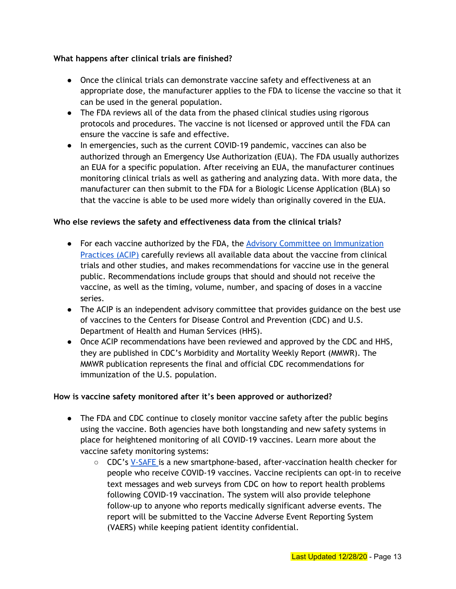## **What happens after clinical trials are finished?**

- Once the clinical trials can demonstrate vaccine safety and effectiveness at an appropriate dose, the manufacturer applies to the FDA to license the vaccine so that it can be used in the general population.
- The FDA reviews all of the data from the phased clinical studies using rigorous protocols and procedures. The vaccine is not licensed or approved until the FDA can ensure the vaccine is safe and effective.
- In emergencies, such as the current COVID-19 pandemic, vaccines can also be authorized through an Emergency Use Authorization (EUA). The FDA usually authorizes an EUA for a specific population. After receiving an EUA, the manufacturer continues monitoring clinical trials as well as gathering and analyzing data. With more data, the manufacturer can then submit to the FDA for a Biologic License Application (BLA) so that the vaccine is able to be used more widely than originally covered in the EUA.

#### **Who else reviews the safety and effectiveness data from the clinical trials?**

- For each vaccine authorized by the FDA, the Advisory Committee on [Immunization](https://www.cdc.gov/vaccines/acip/index.html) [Practices](https://www.cdc.gov/vaccines/acip/index.html) (ACIP) carefully reviews all available data about the vaccine from clinical trials and other studies, and makes recommendations for vaccine use in the general public. Recommendations include groups that should and should not receive the vaccine, as well as the timing, volume, number, and spacing of doses in a vaccine series.
- The ACIP is an independent advisory committee that provides guidance on the best use of vaccines to the Centers for Disease Control and Prevention (CDC) and U.S. Department of Health and Human Services (HHS).
- Once ACIP recommendations have been reviewed and approved by the CDC and HHS, they are published in CDC's Morbidity and Mortality Weekly Report (MMWR). The MMWR publication represents the final and official CDC recommendations for immunization of the U.S. population.

#### **How is vaccine safety monitored after it's been approved or authorized?**

- The FDA and CDC continue to closely monitor vaccine safety after the public begins using the vaccine. Both agencies have both longstanding and new safety systems in place for heightened monitoring of all COVID-19 vaccines. Learn more about the vaccine safety monitoring systems:
	- CDC's [V-SAFE](https://www.cdc.gov/coronavirus/2019-ncov/vaccines/safety/vsafe.html) is a new smartphone-based, after-vaccination health checker for people who receive COVID-19 vaccines. Vaccine recipients can opt-in to receive text messages and web surveys from CDC on how to report health problems following COVID-19 vaccination. The system will also provide telephone follow-up to anyone who reports medically significant adverse events. The report will be submitted to the Vaccine Adverse Event Reporting System (VAERS) while keeping patient identity confidential.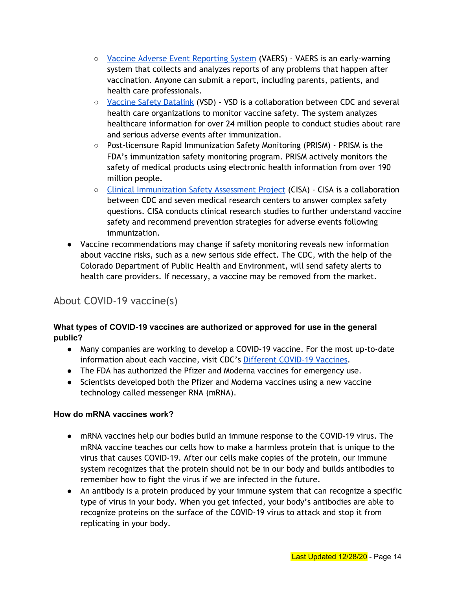- Vaccine Adverse Event [Reporting](https://vaers.hhs.gov/index.html) System (VAERS) VAERS is an early-warning system that collects and analyzes reports of any problems that happen after vaccination. Anyone can submit a report, including parents, patients, and health care professionals.
- <u>Vaccine Safety [Datalink](https://www.cdc.gov/vaccinesafety/ensuringsafety/monitoring/vsd/index.html)</u> (VSD) VSD is a collaboration between CDC and several health care organizations to monitor vaccine safety. The system analyzes healthcare information for over 24 million people to conduct studies about rare and serious adverse events after immunization.
- Post-licensure Rapid Immunization Safety Monitoring (PRISM) PRISM is the FDA's immunization safety monitoring program. PRISM actively monitors the safety of medical products using electronic health information from over 190 million people.
- Clinical [Immunization](https://www.cdc.gov/vaccinesafety/ensuringsafety/monitoring/cisa/index.html) Safety Assessment Project (CISA) CISA is a collaboration between CDC and seven medical research centers to answer complex safety questions. CISA conducts clinical research studies to further understand vaccine safety and recommend prevention strategies for adverse events following immunization.
- Vaccine recommendations may change if safety monitoring reveals new information about vaccine risks, such as a new serious side effect. The CDC, with the help of the Colorado Department of Public Health and Environment, will send safety alerts to health care providers. If necessary, a vaccine may be removed from the market.

# <span id="page-13-0"></span>About COVID-19 vaccine(s)

## **What types of COVID-19 vaccines are authorized or approved for use in the general public?**

- Many companies are working to develop a COVID-19 vaccine. For the most up-to-date information about each vaccine, visit CDC's Different [COVID-19](https://www.cdc.gov/coronavirus/2019-ncov/vaccines/different-vaccines.html) Vaccines.
- The FDA has authorized the Pfizer and Moderna vaccines for emergency use.
- Scientists developed both the Pfizer and Moderna vaccines using a new vaccine technology called messenger RNA (mRNA).

## **How do mRNA vaccines work?**

- mRNA vaccines help our bodies build an immune response to the COVID-19 virus. The mRNA vaccine teaches our cells how to make a harmless protein that is unique to the virus that causes COVID-19. After our cells make copies of the protein, our immune system recognizes that the protein should not be in our body and builds antibodies to remember how to fight the virus if we are infected in the future.
- An antibody is a protein produced by your immune system that can recognize a specific type of virus in your body. When you get infected, your body's antibodies are able to recognize proteins on the surface of the COVID-19 virus to attack and stop it from replicating in your body.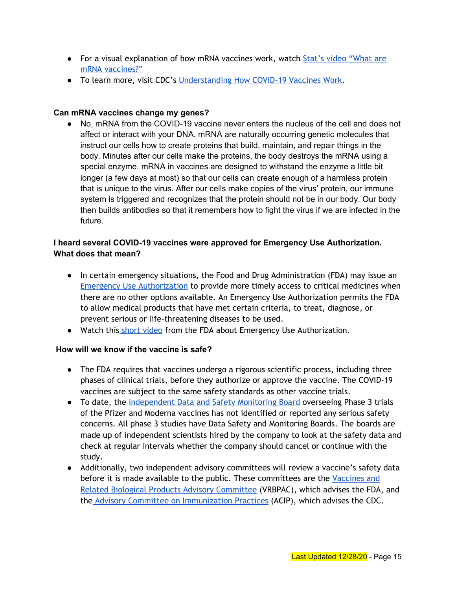- For a visual explanation of how mRNA vaccines work, watch Stat's video ["What](https://www.statnews.com/2020/10/26/mrna-vaccines-face-their-first-test-in-the-fight-against-covid-19-how-do-they-work/) are mRNA [vaccines?"](https://www.statnews.com/2020/10/26/mrna-vaccines-face-their-first-test-in-the-fight-against-covid-19-how-do-they-work/)
- To learn more, visit CDC's [Understanding](https://www.cdc.gov/coronavirus/2019-ncov/vaccines/different-vaccines/how-they-work.html?CDC_AA_refVal=https%3A%2F%2Fwww.cdc.gov%2Fcoronavirus%2F2019-ncov%2Fvaccines%2Fabout-vaccines%2Fhow-they-work.html) How COVID-19 Vaccines Work.

## **Can mRNA vaccines change my genes?**

**●** No, mRNA from the COVID-19 vaccine never enters the nucleus of the cell and does not affect or interact with your DNA. mRNA are naturally occurring genetic molecules that instruct our cells how to create proteins that build, maintain, and repair things in the body. Minutes after our cells make the proteins, the body destroys the mRNA using a special enzyme. mRNA in vaccines are designed to withstand the enzyme a little bit longer (a few days at most) so that our cells can create enough of a harmless protein that is unique to the virus. After our cells make copies of the virus' protein, our immune system is triggered and recognizes that the protein should not be in our body. Our body then builds antibodies so that it remembers how to fight the virus if we are infected in the future.

## **I heard several COVID-19 vaccines were approved for Emergency Use Authorization. What does that mean?**

- In certain emergency situations, the Food and Drug Administration (FDA) may issue an Emergency Use [Authorization](https://www.fda.gov/emergency-preparedness-and-response/mcm-legal-regulatory-and-policy-framework/emergency-use-authorization) to provide more timely access to critical medicines when there are no other options available. An Emergency Use Authorization permits the FDA to allow medical products that have met certain criteria, to treat, diagnose, or prevent serious or life-threatening diseases to be used.
- Watch this short [video](https://www.fda.gov/emergency-preparedness-and-response/mcm-legal-regulatory-and-policy-framework/emergency-use-authorization) from the FDA about Emergency Use Authorization.

## **How will we know if the vaccine is safe?**

- The FDA requires that vaccines undergo a rigorous scientific process, including three phases of clinical trials, before they authorize or approve the vaccine. The COVID-19 vaccines are subject to the same safety standards as other vaccine trials.
- To date, the [independent](https://www.niaid.nih.gov/news-events/fourth-large-scale-covid-19-vaccine-trial-begins-united-states) Data and Safety Monitoring Board overseeing Phase 3 trials of the Pfizer and Moderna vaccines has not identified or reported any serious safety concerns. All phase 3 studies have Data Safety and Monitoring Boards. The boards are made up of independent scientists hired by the company to look at the safety data and check at regular intervals whether the company should cancel or continue with the study.
- Additionally, two independent advisory committees will review a vaccine's safety data before it is made available to the public. These committees are the [Vaccines](https://www.fda.gov/advisory-committees/blood-vaccines-and-other-biologics/vaccines-and-related-biological-products-advisory-committee) and Related Biological Products Advisory [Committee](https://www.fda.gov/advisory-committees/blood-vaccines-and-other-biologics/vaccines-and-related-biological-products-advisory-committee) (VRBPAC), which advises the FDA, and the Advisory Committee on [Immunization](https://www.cdc.gov/vaccines/acip/index.html) Practices (ACIP), which advises the CDC.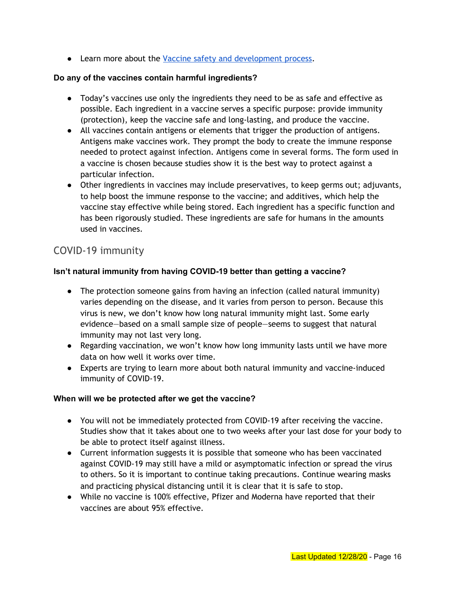● Learn more about the Vaccine safety and [development](https://covid19.colorado.gov/vaccine-faq) process.

## **Do any of the vaccines contain harmful ingredients?**

- Today's vaccines use only the ingredients they need to be as safe and effective as possible. Each ingredient in a vaccine serves a specific purpose: provide immunity (protection), keep the vaccine safe and long-lasting, and produce the vaccine.
- All vaccines contain antigens or elements that trigger the production of antigens. Antigens make vaccines work. They prompt the body to create the immune response needed to protect against infection. Antigens come in several forms. The form used in a vaccine is chosen because studies show it is the best way to protect against a particular infection.
- Other ingredients in vaccines may include preservatives, to keep germs out; adjuvants, to help boost the immune response to the vaccine; and additives, which help the vaccine stay effective while being stored. Each ingredient has a specific function and has been rigorously studied. These ingredients are safe for humans in the amounts used in vaccines.

# <span id="page-15-0"></span>COVID-19 immunity

## **Isn't natural immunity from having COVID-19 better than getting a vaccine?**

- The protection someone gains from having an infection (called natural immunity) varies depending on the disease, and it varies from person to person. Because this virus is new, we don't know how long natural immunity might last. Some early evidence—based on a small sample size of people—seems to suggest that natural immunity may not last very long.
- Regarding vaccination, we won't know how long immunity lasts until we have more data on how well it works over time.
- Experts are trying to learn more about both natural immunity and vaccine-induced immunity of COVID-19.

## **When will we be protected after we get the vaccine?**

- You will not be immediately protected from COVID-19 after receiving the vaccine. Studies show that it takes about one to two weeks after your last dose for your body to be able to protect itself against illness.
- Current information suggests it is possible that someone who has been vaccinated against COVID-19 may still have a mild or asymptomatic infection or spread the virus to others. So it is important to continue taking precautions. Continue wearing masks and practicing physical distancing until it is clear that it is safe to stop.
- While no vaccine is 100% effective, Pfizer and Moderna have reported that their vaccines are about 95% effective.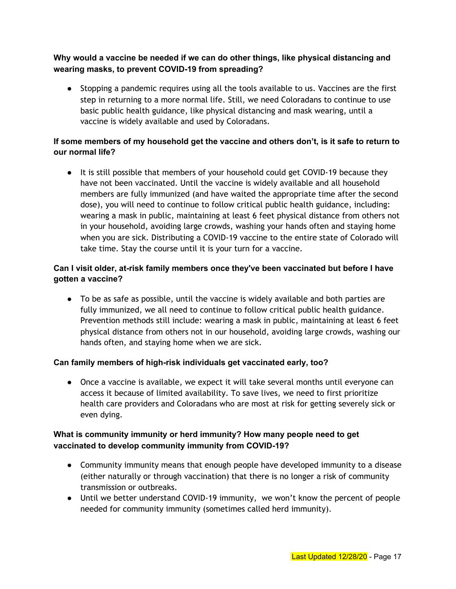## **Why would a vaccine be needed if we can do other things, like physical distancing and wearing masks, to prevent COVID-19 from spreading?**

● Stopping a pandemic requires using all the tools available to us. Vaccines are the first step in returning to a more normal life. Still, we need Coloradans to continue to use basic public health guidance, like physical distancing and mask wearing, until a vaccine is widely available and used by Coloradans.

## **If some members of my household get the vaccine and others don't, is it safe to return to our normal life?**

● It is still possible that members of your household could get COVID-19 because they have not been vaccinated. Until the vaccine is widely available and all household members are fully immunized (and have waited the appropriate time after the second dose), you will need to continue to follow critical public health guidance, including: wearing a mask in public, maintaining at least 6 feet physical distance from others not in your household, avoiding large crowds, washing your hands often and staying home when you are sick. Distributing a COVID-19 vaccine to the entire state of Colorado will take time. Stay the course until it is your turn for a vaccine.

## **Can I visit older, at-risk family members once they've been vaccinated but before I have gotten a vaccine?**

● To be as safe as possible, until the vaccine is widely available and both parties are fully immunized, we all need to continue to follow critical public health guidance. Prevention methods still include: wearing a mask in public, maintaining at least 6 feet physical distance from others not in our household, avoiding large crowds, washing our hands often, and staying home when we are sick.

## **Can family members of high-risk individuals get vaccinated early, too?**

• Once a vaccine is available, we expect it will take several months until everyone can access it because of limited availability. To save lives, we need to first prioritize health care providers and Coloradans who are most at risk for getting severely sick or even dying.

## **What is community immunity or herd immunity? How many people need to get vaccinated to develop community immunity from COVID-19?**

- Community immunity means that enough people have developed immunity to a disease (either naturally or through vaccination) that there is no longer a risk of community transmission or outbreaks.
- Until we better understand COVID-19 immunity, we won't know the percent of people needed for community immunity (sometimes called herd immunity).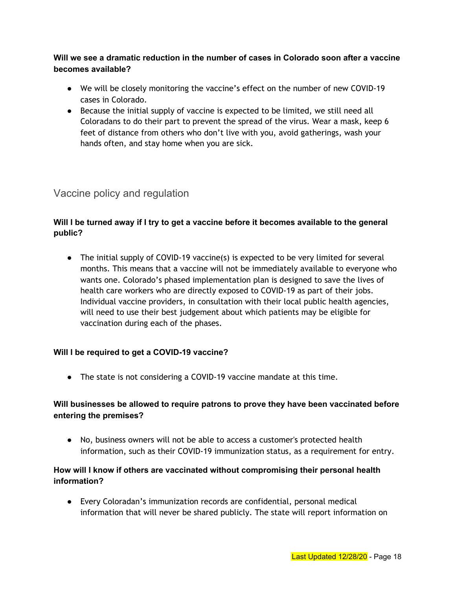## **Will we see a dramatic reduction in the number of cases in Colorado soon after a vaccine becomes available?**

- We will be closely monitoring the vaccine's effect on the number of new COVID-19 cases in Colorado.
- Because the initial supply of vaccine is expected to be limited, we still need all Coloradans to do their part to prevent the spread of the virus. Wear a mask, keep 6 feet of distance from others who don't live with you, avoid gatherings, wash your hands often, and stay home when you are sick.

# <span id="page-17-0"></span>Vaccine policy and regulation

## **Will I be turned away if I try to get a vaccine before it becomes available to the general public?**

• The initial supply of COVID-19 vaccine(s) is expected to be very limited for several months. This means that a vaccine will not be immediately available to everyone who wants one. Colorado's phased implementation plan is designed to save the lives of health care workers who are directly exposed to COVID-19 as part of their jobs. Individual vaccine providers, in consultation with their local public health agencies, will need to use their best judgement about which patients may be eligible for vaccination during each of the phases.

## **Will I be required to get a COVID-19 vaccine?**

● The state is not considering a COVID-19 vaccine mandate at this time.

## **Will businesses be allowed to require patrons to prove they have been vaccinated before entering the premises?**

● No, business owners will not be able to access a customer's protected health information, such as their COVID-19 immunization status, as a requirement for entry.

## **How will I know if others are vaccinated without compromising their personal health information?**

● Every Coloradan's immunization records are confidential, personal medical information that will never be shared publicly. The state will report information on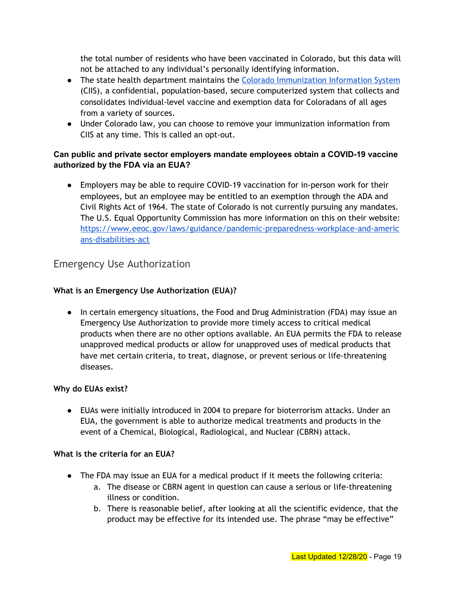the total number of residents who have been vaccinated in Colorado, but this data will not be attached to any individual's personally identifying information.

- The state health department maintains the Colorado [Immunization](https://cdphe.colorado.gov/colorado-immunization-information-system-ciis) Information System (CIIS), a confidential, population-based, secure computerized system that collects and consolidates individual-level vaccine and exemption data for Coloradans of all ages from a variety of sources.
- Under Colorado law, you can choose to remove your immunization information from CIIS at any time. This is called an opt-out.

## **Can public and private sector employers mandate employees obtain a COVID-19 vaccine authorized by the FDA via an EUA?**

● Employers may be able to require COVID-19 vaccination for in-person work for their employees, but an employee may be entitled to an exemption through the ADA and Civil Rights Act of 1964. The state of Colorado is not currently pursuing any mandates. The U.S. Equal Opportunity Commission has more information on this on their website: [https://www.eeoc.gov/laws/guidance/pandemic-preparedness-workplace-and-americ](https://www.eeoc.gov/laws/guidance/pandemic-preparedness-workplace-and-americans-disabilities-act) [ans-disabilities-act](https://www.eeoc.gov/laws/guidance/pandemic-preparedness-workplace-and-americans-disabilities-act)

## <span id="page-18-0"></span>Emergency Use Authorization

## **What is an Emergency Use Authorization (EUA)?**

• In certain emergency situations, the Food and Drug Administration (FDA) may issue an Emergency Use Authorization to provide more timely access to critical medical products when there are no other options available. An EUA permits the FDA to release unapproved medical products or allow for unapproved uses of medical products that have met certain criteria, to treat, diagnose, or prevent serious or life-threatening diseases.

## **Why do EUAs exist?**

● EUAs were initially introduced in 2004 to prepare for bioterrorism attacks. Under an EUA, the government is able to authorize medical treatments and products in the event of a Chemical, Biological, Radiological, and Nuclear (CBRN) attack.

#### **What is the criteria for an EUA?**

- The FDA may issue an EUA for a medical product if it meets the following criteria:
	- a. The disease or CBRN agent in question can cause a serious or life-threatening illness or condition.
	- b. There is reasonable belief, after looking at all the scientific evidence, that the product may be effective for its intended use. The phrase "may be effective"